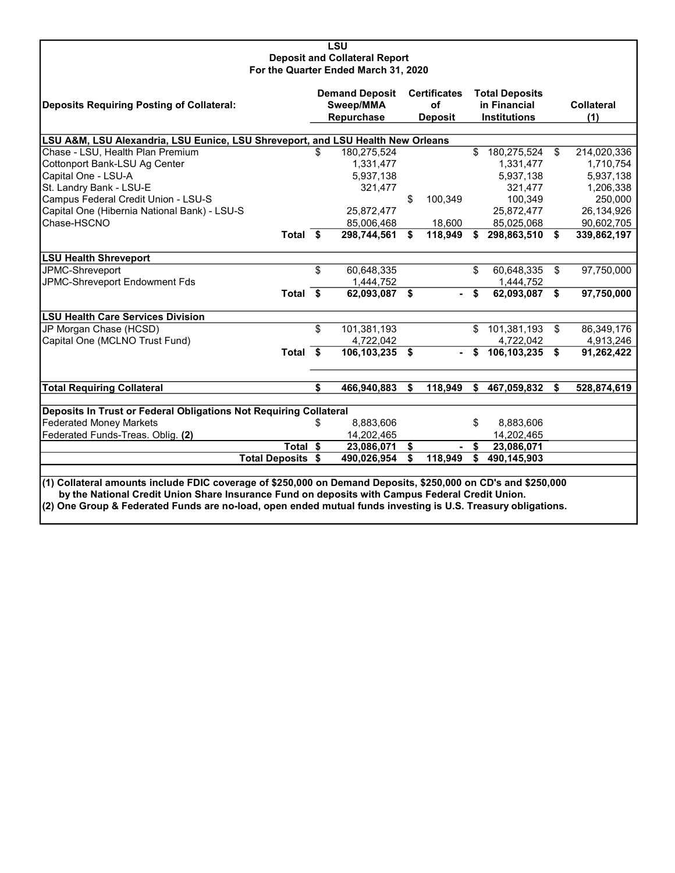| <b>LSU</b>                                                                                                                                                                                                       |            |                                      |    |                     |    |                                       |    |                   |  |  |  |  |  |
|------------------------------------------------------------------------------------------------------------------------------------------------------------------------------------------------------------------|------------|--------------------------------------|----|---------------------|----|---------------------------------------|----|-------------------|--|--|--|--|--|
| <b>Deposit and Collateral Report</b>                                                                                                                                                                             |            |                                      |    |                     |    |                                       |    |                   |  |  |  |  |  |
|                                                                                                                                                                                                                  |            | For the Quarter Ended March 31, 2020 |    |                     |    |                                       |    |                   |  |  |  |  |  |
|                                                                                                                                                                                                                  |            | <b>Demand Deposit</b>                |    | <b>Certificates</b> |    |                                       |    |                   |  |  |  |  |  |
| <b>Deposits Requiring Posting of Collateral:</b>                                                                                                                                                                 | Sweep/MMA  |                                      |    | of                  |    | <b>Total Deposits</b><br>in Financial |    | <b>Collateral</b> |  |  |  |  |  |
|                                                                                                                                                                                                                  | Repurchase |                                      |    | <b>Deposit</b>      |    | <b>Institutions</b>                   |    | (1)               |  |  |  |  |  |
|                                                                                                                                                                                                                  |            |                                      |    |                     |    |                                       |    |                   |  |  |  |  |  |
| LSU A&M, LSU Alexandria, LSU Eunice, LSU Shreveport, and LSU Health New Orleans                                                                                                                                  |            |                                      |    |                     |    |                                       |    |                   |  |  |  |  |  |
| Chase - LSU, Health Plan Premium                                                                                                                                                                                 | \$.        | 180,275,524                          |    |                     | \$ | 180,275,524                           | \$ | 214,020,336       |  |  |  |  |  |
| Cottonport Bank-LSU Ag Center                                                                                                                                                                                    |            | 1,331,477                            |    |                     |    | 1,331,477                             |    | 1,710,754         |  |  |  |  |  |
| Capital One - LSU-A                                                                                                                                                                                              |            | 5,937,138                            |    |                     |    | 5,937,138                             |    | 5,937,138         |  |  |  |  |  |
| St. Landry Bank - LSU-E                                                                                                                                                                                          |            | 321,477                              |    |                     |    | 321,477                               |    | 1,206,338         |  |  |  |  |  |
| Campus Federal Credit Union - LSU-S                                                                                                                                                                              |            |                                      | \$ | 100,349             |    | 100,349                               |    | 250,000           |  |  |  |  |  |
| Capital One (Hibernia National Bank) - LSU-S                                                                                                                                                                     |            | 25,872,477                           |    |                     |    | 25,872,477                            |    | 26,134,926        |  |  |  |  |  |
| Chase-HSCNO                                                                                                                                                                                                      |            | 85,006,468                           |    | 18,600              |    | 85,025,068                            |    | 90,602,705        |  |  |  |  |  |
| Total \$                                                                                                                                                                                                         |            | 298,744,561                          | \$ | 118,949             | \$ | 298,863,510                           | \$ | 339,862,197       |  |  |  |  |  |
|                                                                                                                                                                                                                  |            |                                      |    |                     |    |                                       |    |                   |  |  |  |  |  |
| <b>LSU Health Shreveport</b>                                                                                                                                                                                     |            |                                      |    |                     |    |                                       |    |                   |  |  |  |  |  |
| JPMC-Shreveport                                                                                                                                                                                                  | \$         | 60,648,335                           |    |                     | \$ | 60,648,335                            | \$ | 97,750,000        |  |  |  |  |  |
| JPMC-Shreveport Endowment Fds                                                                                                                                                                                    |            | 1,444,752                            |    |                     |    | 1,444,752                             |    |                   |  |  |  |  |  |
| Total \$                                                                                                                                                                                                         |            | 62,093,087                           | \$ |                     | \$ | 62,093,087                            | \$ | 97,750,000        |  |  |  |  |  |
| <b>LSU Health Care Services Division</b>                                                                                                                                                                         |            |                                      |    |                     |    |                                       |    |                   |  |  |  |  |  |
| JP Morgan Chase (HCSD)                                                                                                                                                                                           | \$         | 101,381,193                          |    |                     | \$ | 101,381,193                           | \$ | 86,349,176        |  |  |  |  |  |
| Capital One (MCLNO Trust Fund)                                                                                                                                                                                   |            | 4,722,042                            |    |                     |    | 4,722,042                             |    | 4,913,246         |  |  |  |  |  |
| Total \$                                                                                                                                                                                                         |            | 106,103,235                          | \$ |                     | \$ | 106,103,235                           | \$ | 91,262,422        |  |  |  |  |  |
|                                                                                                                                                                                                                  |            |                                      |    |                     |    |                                       |    |                   |  |  |  |  |  |
| <b>Total Requiring Collateral</b>                                                                                                                                                                                | \$         | 466,940,883                          | \$ | 118,949             | \$ | 467,059,832                           | S  | 528,874,619       |  |  |  |  |  |
|                                                                                                                                                                                                                  |            |                                      |    |                     |    |                                       |    |                   |  |  |  |  |  |
| Deposits In Trust or Federal Obligations Not Requiring Collateral                                                                                                                                                |            |                                      |    |                     |    |                                       |    |                   |  |  |  |  |  |
| <b>Federated Money Markets</b>                                                                                                                                                                                   | \$         | 8,883,606                            |    |                     | \$ | 8,883,606                             |    |                   |  |  |  |  |  |
| Federated Funds-Treas. Oblig. (2)                                                                                                                                                                                |            | 14,202,465                           |    |                     |    | 14,202,465                            |    |                   |  |  |  |  |  |
| Total \$                                                                                                                                                                                                         |            | 23,086,071                           | \$ |                     | \$ | 23,086,071                            |    |                   |  |  |  |  |  |
| <b>Total Deposits \$</b>                                                                                                                                                                                         |            | 490,026,954                          | \$ | 118,949             | \$ | 490,145,903                           |    |                   |  |  |  |  |  |
|                                                                                                                                                                                                                  |            |                                      |    |                     |    |                                       |    |                   |  |  |  |  |  |
| (1) Collateral amounts include FDIC coverage of \$250,000 on Demand Deposits, \$250,000 on CD's and \$250,000<br>by the National Credit Union Share Insurance Fund on deposits with Campus Federal Credit Union. |            |                                      |    |                     |    |                                       |    |                   |  |  |  |  |  |
|                                                                                                                                                                                                                  |            |                                      |    |                     |    |                                       |    |                   |  |  |  |  |  |
| (2) One Group & Federated Funds are no-load, open ended mutual funds investing is U.S. Treasury obligations.                                                                                                     |            |                                      |    |                     |    |                                       |    |                   |  |  |  |  |  |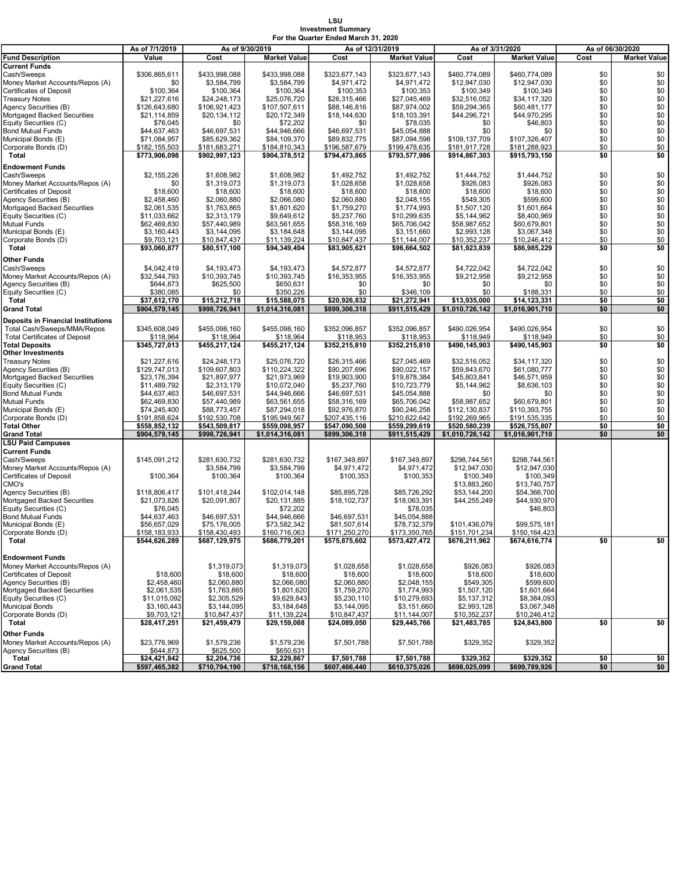## LSU Investment Summary For the Quarter Ended March 31, 2020

|                                           | As of 7/1/2019                 |                                | As of 9/30/2019     | As of 12/31/2019 |                     |                 | As of 3/31/2020     | As of 06/30/2020 |                     |  |
|-------------------------------------------|--------------------------------|--------------------------------|---------------------|------------------|---------------------|-----------------|---------------------|------------------|---------------------|--|
| <b>Fund Description</b>                   | Value                          | Cost                           | <b>Market Value</b> | Cost             | <b>Market Value</b> | Cost            | <b>Market Value</b> | Cost             | <b>Market Value</b> |  |
| <b>Current Funds</b>                      |                                |                                |                     |                  |                     |                 |                     |                  |                     |  |
| Cash/Sweeps                               | \$306.865.611                  | \$433.998.088                  | \$433,998,088       | \$323,677,143    | \$323.677.143       | \$460,774,089   | \$460,774,089       | \$0              | \$0                 |  |
| Money Market Accounts/Repos (A)           | \$0                            | \$3,584,799                    | \$3,584,799         | \$4,971,472      | \$4,971,472         | \$12,947,030    | \$12,947,030        | \$0              | \$0                 |  |
| Certificates of Deposit                   | \$100,364                      | \$100,364                      | \$100,364           | \$100,353        | \$100,353           | \$100,349       | \$100,349           | \$0              | \$0                 |  |
| <b>Treasury Notes</b>                     | \$21,227,616                   | \$24,248,173                   | \$25,076,720        | \$26,315,466     | \$27,045,469        | \$32,516,052    | \$34,117,320        | \$0              | \$0                 |  |
| Agency Securities (B)                     | \$126,643,680                  | \$106,921,423                  | \$107,507,611       | \$88,146,816     | \$87,974,002        | \$59,294,365    | \$60,481,177        | \$0              | \$0                 |  |
| Mortgaged Backed Securities               | \$21,114,859                   | \$20,134,112                   | \$20,172,349        | \$18,144,630     | \$18,103,391        | \$44,296,721    | \$44,970,295        | \$0              | $\overline{\$0}$    |  |
| Equity Securities (C)                     | \$76,045                       | \$0                            | \$72,202            | \$0              | \$78,035            | \$0             | \$46,803            | \$0              | $\ddot{\$0}$        |  |
| <b>Bond Mutual Funds</b>                  | \$44,637,463                   | \$46,697,531                   | \$44,946,666        | \$46,697,531     | \$45,054,888        | \$0             | \$0                 | \$0              | \$0                 |  |
| Municipal Bonds (E)                       | \$71,084,957                   | \$85,629,362                   | \$84,109,370        | \$89,832,775     | \$87,094,598        | \$109,137,709   | \$107,326,407       | \$0              | \$0                 |  |
| Corporate Bonds (D)                       | \$182,155,503                  | \$181,683,271                  | \$184,810,343       | \$196,587,679    | \$199,478,635       | \$181,917,728   | \$181,288,923       | \$0              | \$0                 |  |
| Total                                     | \$773,906,098                  | \$902,997,123                  | \$904,378,512       | \$794,473,865    | \$793,577,986       | \$914,867,303   | \$915,793,150       | \$0              | \$0                 |  |
| Endowment Funds                           |                                |                                |                     |                  |                     |                 |                     |                  |                     |  |
| Cash/Sweeps                               | \$2,155,226                    | \$1,608,982                    | \$1,608,982         | \$1,492,752      | \$1,492,752         | \$1,444.752     | \$1,444,752         | \$0              | \$0                 |  |
| Money Market Accounts/Repos (A)           | \$0                            | \$1,319,073                    | \$1,319,073         | \$1,028,658      | \$1,028,658         | \$926,083       | \$926,083           | \$0              | \$0                 |  |
| Certificates of Deposit                   | \$18,600                       | \$18,600                       | \$18,600            | \$18,600         | \$18,600            | \$18,600        | \$18,600            | \$0              | \$0                 |  |
| Agency Securities (B)                     | \$2,458,460                    | \$2,060,880                    | \$2,066,080         | \$2,060,880      | \$2,048,155         | \$549,305       | \$599,600           | \$0              | \$0                 |  |
| Mortgaged Backed Securities               | \$2,061,535                    | \$1,763,865                    | \$1,801,620         | \$1,759,270      | \$1,774,993         | \$1,507,120     | \$1,601,664         | \$0              | \$0                 |  |
| Equity Securities (C)                     | \$11,033,662                   | \$2,313,179                    | \$9,649,612         | \$5,237,760      | \$10,299,635        | \$5,144,962     | \$8,400,969         | \$0              | $\overline{\$0}$    |  |
| Mutual Funds                              | \$62,469,830                   | \$57,440,989                   | \$63,561,655        | \$58,316,169     | \$65,706,042        | \$58,987,652    | \$60,679,801        | \$0              | \$0                 |  |
| Municipal Bonds (E)                       | \$3,160,443                    | \$3,144,095                    | \$3,184,648         | \$3,144,095      | \$3,151,660         | \$2,993,128     | \$3,067,348         | \$0              | \$0                 |  |
| Corporate Bonds (D)                       | \$9,703,121                    | \$10,847,437                   | \$11,139,224        | \$10,847,437     | \$11,144,007        | \$10,352,237    | \$10,246,412        | \$0              | \$0                 |  |
| Total                                     | \$93,060,877                   | \$80,517,100                   | \$94,349,494        | \$83,905,621     | \$96,664,502        | \$81,923,839    | \$86,985,229        | \$0              | \$0                 |  |
| Other Funds                               |                                |                                |                     |                  |                     |                 |                     |                  |                     |  |
| Cash/Sweeps                               | \$4,042,419                    | \$4,193,473                    | \$4,193,473         | \$4,572,877      | \$4,572,877         | \$4,722,042     | \$4,722,042         | \$0              | \$0                 |  |
| Money Market Accounts/Repos (A)           | \$32,544,793                   | \$10,393,745                   | \$10,393,745        | \$16,353,955     | \$16,353,955        | \$9,212,958     | \$9,212,958         | \$0              | \$0                 |  |
| Agency Securities (B)                     | \$644,873                      | \$625,500                      | \$650,631           | \$0              | \$0                 | \$0             | \$0                 | \$0              | \$0                 |  |
| Equity Securities (C)                     | \$380,085                      | \$0                            | \$350,226           | \$0              | \$346,109           | \$0             | \$188,331           | \$0              | \$0                 |  |
| Total                                     | \$37,612,170                   | \$15,212,718                   | \$15,588,075        | \$20,926,832     | \$21,272,941        | \$13,935,000    | \$14,123,331        | \$0              | \$0                 |  |
| <b>Grand Total</b>                        | \$904,579,145                  | \$998,726,941                  | \$1,014,316,081     | \$899.306.318    | \$911,515,429       | \$1.010.726.142 | \$1,016,901,710     | \$0              | \$0                 |  |
| <b>Deposits in Financial Institutions</b> |                                |                                |                     |                  |                     |                 |                     |                  |                     |  |
| Total Cash/Sweeps/MMA/Repos               | \$345.608.049                  | \$455,098,160                  | \$455,098,160       | \$352,096,857    | \$352,096.857       | \$490,026,954   | \$490,026,954       | \$0              | \$0                 |  |
| <b>Total Certificates of Deposit</b>      | \$118,964                      | \$118,964                      | \$118,964           | \$118,953        | \$118,953           | \$118,949       | \$118,949           | \$0              | \$0                 |  |
| <b>Total Deposits</b>                     | \$345,727,013                  | \$455,217,124                  | \$455,217,124       | \$352,215,810    | \$352,215,810       | \$490,145,903   | \$490,145,903       | \$0              | \$0                 |  |
| <b>Other Investments</b>                  |                                |                                |                     |                  |                     |                 |                     |                  |                     |  |
| <b>Treasury Notes</b>                     | \$21,227,616                   | \$24,248,173                   | \$25,076,720        | \$26,315,466     | \$27,045,469        | \$32,516,052    | \$34,117,320        | \$0              | \$0                 |  |
| Agency Securities (B)                     | \$129,747,013                  | \$109,607,803                  | \$110,224,322       | \$90,207,696     | \$90,022,157        | \$59,843,670    | \$61,080,777        | \$0              | \$0                 |  |
| Mortgaged Backed Securities               | \$23,176,394                   | \$21,897,977                   | \$21,973,969        | \$19,903,900     | \$19,878,384        | \$45,803,841    | \$46,571,959        | \$0              | \$0                 |  |
| Equity Securities (C)                     | \$11,489,792                   | \$2,313,179                    | \$10,072,040        | \$5,237,760      | \$10,723,779        | \$5,144,962     | \$8,636,103         | \$0              | \$0                 |  |
| <b>Bond Mutual Funds</b>                  | \$44,637,463                   | \$46,697,531                   | \$44,946,666        | \$46,697,531     | \$45,054,888        | \$0             | \$0                 | \$0              | \$0                 |  |
| Mutual Funds                              | \$62,469,830                   | \$57,440,989                   | \$63,561,655        | \$58,316,169     | \$65,706,042        | \$58,987,652    | \$60,679,801        | \$0              | \$0                 |  |
| Municipal Bonds (E)                       | \$74,245,400                   | \$88,773,457                   | \$87,294,018        | \$92,976,870     | \$90,246,258        | \$112,130,837   | \$110,393,755       | \$0              | \$0                 |  |
| Corporate Bonds (D)                       | \$191,858,624                  | \$192,530,708                  | \$195,949,567       | \$207,435,116    | \$210,622,642       | \$192,269,965   | \$191,535,335       | \$0              | \$0                 |  |
| <b>Total Other</b>                        | \$558,852,132                  | \$543,509,817                  | \$559,098,957       | \$547,090,508    | \$559,299,619       | \$520,580,239   | \$526,755,807       | \$0              | \$0                 |  |
| <b>Grand Total</b>                        | \$904,579,145                  | \$998,726,941                  | \$1,014,316,081     | \$899,306,318    | \$911,515,429       | \$1,010,726,142 | \$1,016,901,710     | \$0              | \$0                 |  |
| <b>LSU Paid Campuses</b>                  |                                |                                |                     |                  |                     |                 |                     |                  |                     |  |
| Current Funds                             |                                |                                |                     |                  |                     |                 |                     |                  |                     |  |
| Cash/Sweeps                               | \$145,091,212                  | \$281,630,732                  | \$281,630,732       | \$167,349,897    | \$167,349,897       | \$298,744,561   | \$298,744,561       |                  |                     |  |
| Money Market Accounts/Repos (A)           |                                | \$3,584,799                    | \$3,584,799         | \$4,971,472      | \$4,971,472         | \$12,947,030    | \$12,947.030        |                  |                     |  |
| Certificates of Deposit                   | \$100.364                      | \$100,364                      | \$100,364           | \$100,353        | \$100,353           | \$100,349       | \$100.349           |                  |                     |  |
| CMO's                                     |                                |                                |                     |                  |                     | \$13,883,260    | \$13,740,757        |                  |                     |  |
| Agency Securities (B)                     | \$118,806,417                  | \$101,418,244                  | \$102,014,148       | \$85,895,728     | \$85,726,292        | \$53,144,200    | \$54,366,700        |                  |                     |  |
| Mortgaged Backed Securities               | \$21,073,826                   | \$20,091,807                   | \$20,131,885        | \$18,102,737     | \$18,063,391        | \$44,255,249    | \$44,930,970        |                  |                     |  |
| Equity Securities (C)                     | \$76,045                       |                                | \$72,202            |                  | \$78,035            |                 | \$46,803            |                  |                     |  |
| <b>Bond Mutual Funds</b>                  | \$44,637,463                   | \$46,697,531                   | \$44,946,666        | \$46,697,531     | \$45,054,888        |                 |                     |                  |                     |  |
| Municipal Bonds (E)                       | \$56,657,029                   | \$75,176,005                   | \$73,582,342        | \$81,507,614     | \$78,732,379        | \$101,436,079   | \$99,575,181        |                  |                     |  |
| Corporate Bonds (D)<br>Total              | \$158,183,933<br>\$544,626,289 | \$158,430,493<br>\$687,129,975 | \$160,716,063       | \$171,250,270    | \$173,350,765       | \$151,701,234   | \$150,164,423       | \$0              | \$0                 |  |
|                                           |                                |                                | \$686,779,201       | \$575,875,602    | \$573,427,472       | \$676,211,962   | \$674,616,774       |                  |                     |  |
| Endowment Funds                           |                                |                                |                     |                  |                     |                 |                     |                  |                     |  |
| Money Market Accounts/Repos (A)           |                                | \$1,319,073                    | \$1,319,073         | \$1,028,658      | \$1,028,658         | \$926,083       | \$926,083           |                  |                     |  |
| <b>Certificates of Deposit</b>            | \$18,600                       | \$18,600                       | \$18,600            | \$18,600         | \$18,600            | \$18,600        | \$18,600            |                  |                     |  |
| Agency Securities (B)                     | \$2,458,460                    | \$2,060,880                    | \$2,066,080         | \$2,060,880      | \$2,048,155         | \$549,305       | \$599,600           |                  |                     |  |
| Mortgaged Backed Securities               | \$2,061,535                    | \$1,763,865                    | \$1,801,620         | \$1,759,270      | \$1,774,993         | \$1,507,120     | \$1,601,664         |                  |                     |  |
| Equity Securities (C)                     | \$11,015,092                   | \$2,305,529                    | \$9,629,843         | \$5,230,110      | \$10,279,693        | \$5,137,312     | \$8,384,093         |                  |                     |  |
| <b>Municipal Bonds</b>                    | \$3,160,443                    | \$3,144,095                    | \$3,184,648         | \$3,144,095      | \$3,151,660         | \$2,993,128     | \$3,067,348         |                  |                     |  |
| Corporate Bonds (D)                       | \$9,703,121                    | \$10,847,437                   | \$11,139,224        | \$10,847,437     | \$11,144,007        | \$10,352,237    | \$10,246,412        |                  |                     |  |
| Total                                     | \$28,417,251                   | \$21,459,479                   | \$29,159,088        | \$24,089,050     | \$29,445,766        | \$21,483,785    | \$24,843,800        | \$0              | \$0                 |  |
| Other Funds                               |                                |                                |                     |                  |                     |                 |                     |                  |                     |  |
| Money Market Accounts/Repos (A)           | \$23,776,969                   | \$1,579,236                    | \$1,579,236         | \$7,501,788      | \$7,501,788         | \$329,352       | \$329,352           |                  |                     |  |
| Agency Securities (B)                     | \$644,873                      | \$625,500                      | \$650,631           |                  |                     |                 |                     |                  |                     |  |
| Total                                     | \$24,421,842                   | \$2,204,736                    | \$2,229,867         | \$7,501,788      | \$7,501,788         | \$329,352       | \$329,352           | \$0              | \$0                 |  |
| <b>Grand Total</b>                        | \$597,465,382                  | \$710,794,190                  | \$718,168,156       | \$607,466,440    | \$610,375,026       | \$698,025,099   | \$699,789,926       | \$0              | \$0                 |  |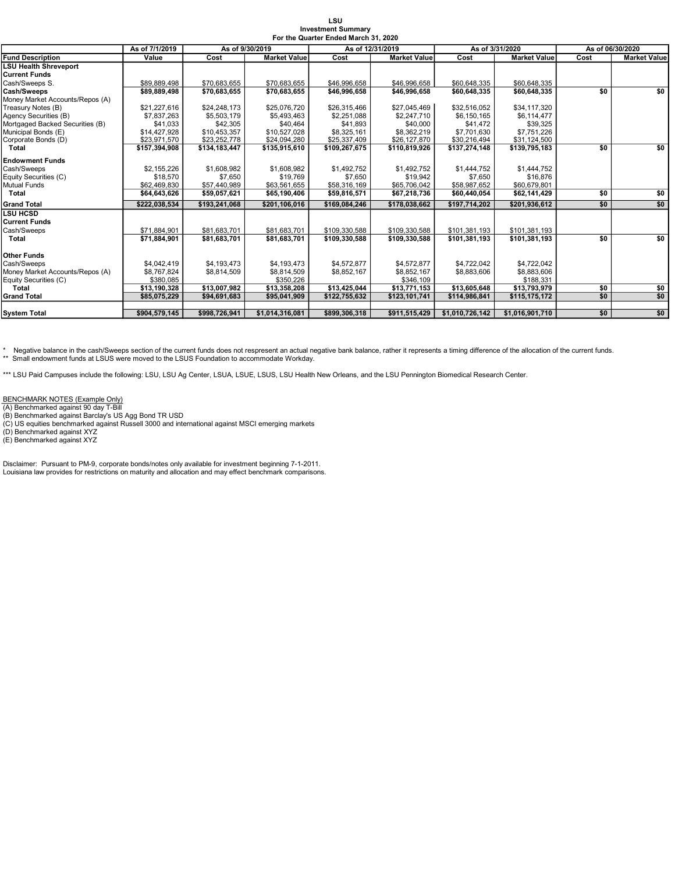|                                 |                |                 |                     | For the Quarter Ended March 31, 2020 |                     |                 |                     |                  |                     |
|---------------------------------|----------------|-----------------|---------------------|--------------------------------------|---------------------|-----------------|---------------------|------------------|---------------------|
|                                 | As of 7/1/2019 | As of 9/30/2019 |                     | As of 12/31/2019                     |                     | As of 3/31/2020 |                     | As of 06/30/2020 |                     |
| <b>Fund Description</b>         | Value          | Cost            | <b>Market Value</b> | Cost                                 | <b>Market Value</b> | Cost            | <b>Market Value</b> | Cost             | <b>Market Value</b> |
| <b>LSU Health Shreveport</b>    |                |                 |                     |                                      |                     |                 |                     |                  |                     |
| <b>Current Funds</b>            |                |                 |                     |                                      |                     |                 |                     |                  |                     |
| Cash/Sweeps S.                  | \$89.889.498   | \$70.683.655    | \$70.683.655        | \$46.996.658                         | \$46,996,658        | \$60,648,335    | \$60,648,335        |                  |                     |
| Cash/Sweeps                     | \$89,889,498   | \$70,683,655    | \$70,683,655        | \$46,996,658                         | \$46,996,658        | \$60,648,335    | \$60,648,335        | \$0              | \$0                 |
| Money Market Accounts/Repos (A) |                |                 |                     |                                      |                     |                 |                     |                  |                     |
| Treasury Notes (B)              | \$21.227.616   | \$24.248.173    | \$25.076.720        | \$26.315.466                         | \$27,045,469        | \$32,516,052    | \$34,117,320        |                  |                     |
| Agency Securities (B)           | \$7,837,263    | \$5,503,179     | \$5,493,463         | \$2,251,088                          | \$2,247,710         | \$6,150,165     | \$6,114,477         |                  |                     |
| Mortgaged Backed Securities (B) | \$41.033       | \$42,305        | \$40,464            | \$41.893                             | \$40,000            | \$41,472        | \$39.325            |                  |                     |
| Municipal Bonds (E)             | \$14,427,928   | \$10,453,357    | \$10,527,028        | \$8,325,161                          | \$8,362,219         | \$7,701,630     | \$7,751,226         |                  |                     |
| Corporate Bonds (D)             | \$23.971.570   | \$23,252,778    | \$24,094,280        | \$25,337,409                         | \$26,127,870        | \$30,216,494    | \$31,124,500        |                  |                     |
| <b>Total</b>                    | \$157,394,908  | \$134.183.447   | \$135,915,610       | \$109.267.675                        | \$110,819,926       | \$137.274.148   | \$139,795,183       | $\overline{50}$  | 50                  |
| Endowment Funds                 |                |                 |                     |                                      |                     |                 |                     |                  |                     |
| Cash/Sweeps                     | \$2,155,226    | \$1,608,982     | \$1,608,982         | \$1,492,752                          | \$1,492,752         | \$1,444,752     | \$1,444,752         |                  |                     |
| Equity Securities (C)           | \$18,570       | \$7,650         | \$19,769            | \$7,650                              | \$19.942            | \$7,650         | \$16,876            |                  |                     |
| Mutual Funds                    | \$62.469.830   | \$57,440,989    | \$63.561.655        | \$58,316,169                         | \$65,706,042        | \$58,987,652    | \$60,679,801        |                  |                     |
| <b>Total</b>                    | \$64,643,626   | \$59,057,621    | \$65,190,406        | \$59,816,571                         | \$67,218,736        | \$60,440,054    | \$62,141,429        | \$0              | \$0                 |
| <b>Grand Total</b>              | \$222.038.534  | \$193.241.068   | \$201.106.016       | \$169.084.246                        | \$178.038.662       | \$197.714.202   | \$201.936.612       | \$0              | \$0                 |
| <b>LSU HCSD</b>                 |                |                 |                     |                                      |                     |                 |                     |                  |                     |
| <b>Current Funds</b>            |                |                 |                     |                                      |                     |                 |                     |                  |                     |
| Cash/Sweeps                     | \$71.884.901   | \$81.683.701    | \$81.683.701        | \$109,330,588                        | \$109.330.588       | \$101.381.193   | \$101.381.193       |                  |                     |
| <b>Total</b>                    | \$71,884,901   | \$81.683.701    | \$81.683.701        | \$109.330.588                        | \$109.330.588       | \$101.381.193   | \$101.381.193       | \$0              | \$0                 |
| Other Funds                     |                |                 |                     |                                      |                     |                 |                     |                  |                     |
| Cash/Sweeps                     | \$4,042,419    | \$4,193,473     | \$4,193,473         | \$4,572,877                          | \$4,572,877         | \$4,722,042     | \$4,722,042         |                  |                     |
| Money Market Accounts/Repos (A) | \$8,767,824    | \$8,814,509     | \$8,814,509         | \$8,852,167                          | \$8,852,167         | \$8,883,606     | \$8,883,606         |                  |                     |
| Equity Securities (C)           | \$380,085      |                 | \$350.226           |                                      | \$346,109           |                 | \$188,331           |                  |                     |
| <b>Total</b>                    | \$13,190,328   | \$13,007,982    | \$13,358,208        | \$13,425,044                         | \$13,771,153        | \$13,605,648    | \$13,793,979        | \$0              | \$0                 |
| <b>Grand Total</b>              | \$85,075,229   | \$94,691,683    | \$95,041,909        | \$122,755,632                        | \$123,101,741       | \$114,986,841   | \$115,175,172       | \$0              | \$0                 |
|                                 |                |                 |                     |                                      |                     |                 |                     |                  |                     |
| <b>System Total</b>             | \$904,579,145  | \$998,726,941   | \$1,014,316,081     | \$899,306,318                        | \$911,515,429       | \$1,010,726,142 | \$1,016,901,710     | \$0              | \$0                 |

LSU Investment Summary

\* Negative balance in the cash/Sweeps section of the current funds does not respresent an actual negative bank balance, rather it represents a timing difference of the allocation of the current funds.<br>\*\* Small endowment fu

\*\*\* LSU Paid Campuses include the following: LSU, LSU Ag Center, LSUA, LSUE, LSUS, LSU Health New Orleans, and the LSU Pennington Biomedical Research Center.

BENCHMARK NOTES (Example Only) (A) Benchmarked against 90 day T-Bill

(B) Benchmarked against Barclay's US Agg Bond TR USD

(C) US equities benchmarked against Russell 3000 and international against MSCI emerging markets (D) Benchmarked against XYZ (E) Benchmarked against XYZ

Disclaimer: Pursuant to PM-9, corporate bonds/notes only available for investment beginning 7-1-2011. Louisiana law provides for restrictions on maturity and allocation and may effect benchmark comparisons.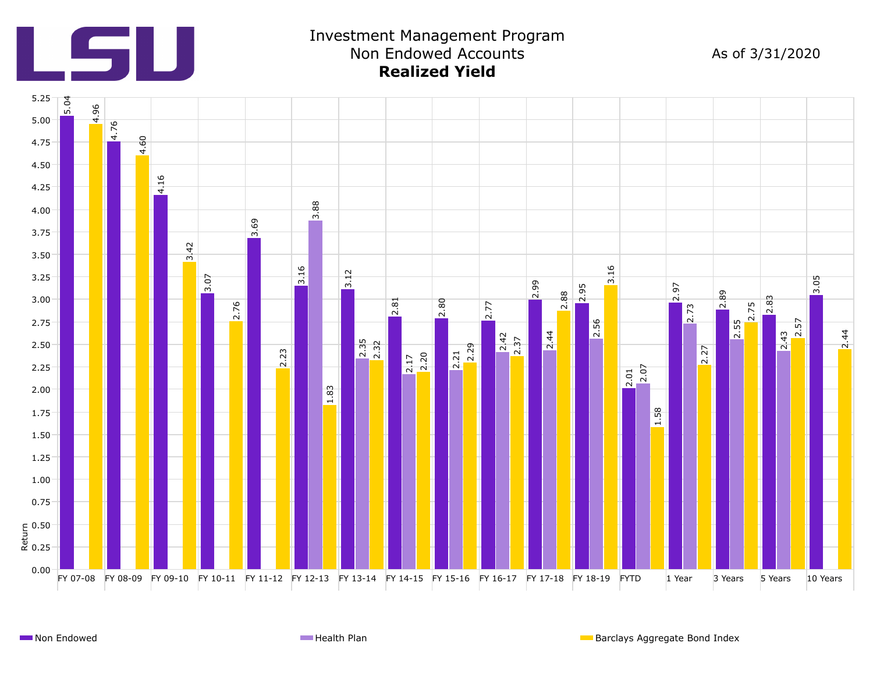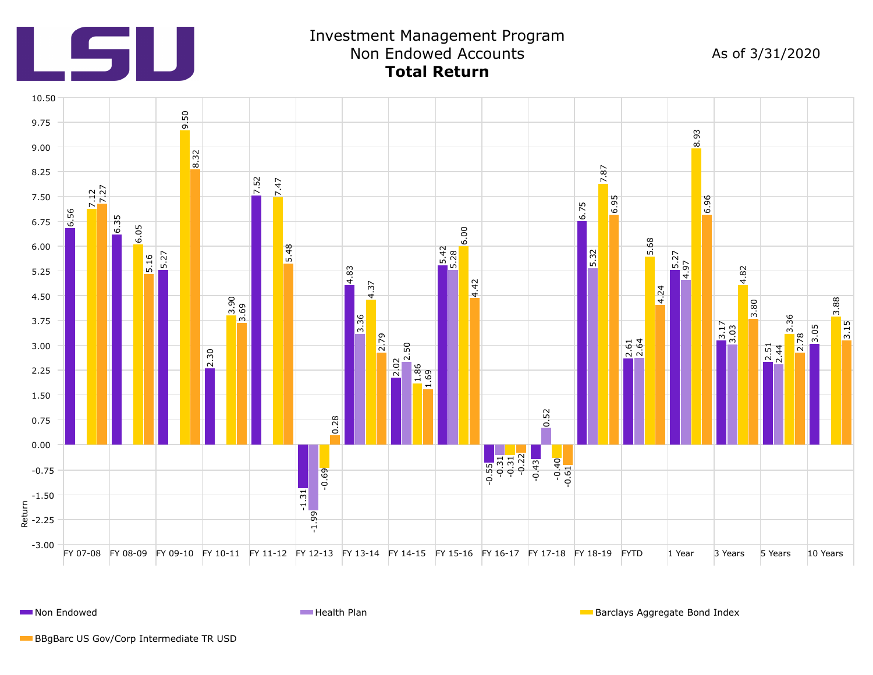

**Non Endowed Health Plan Barclays Aggregate Bond Index Health Plan** Barclays Aggregate Bond Index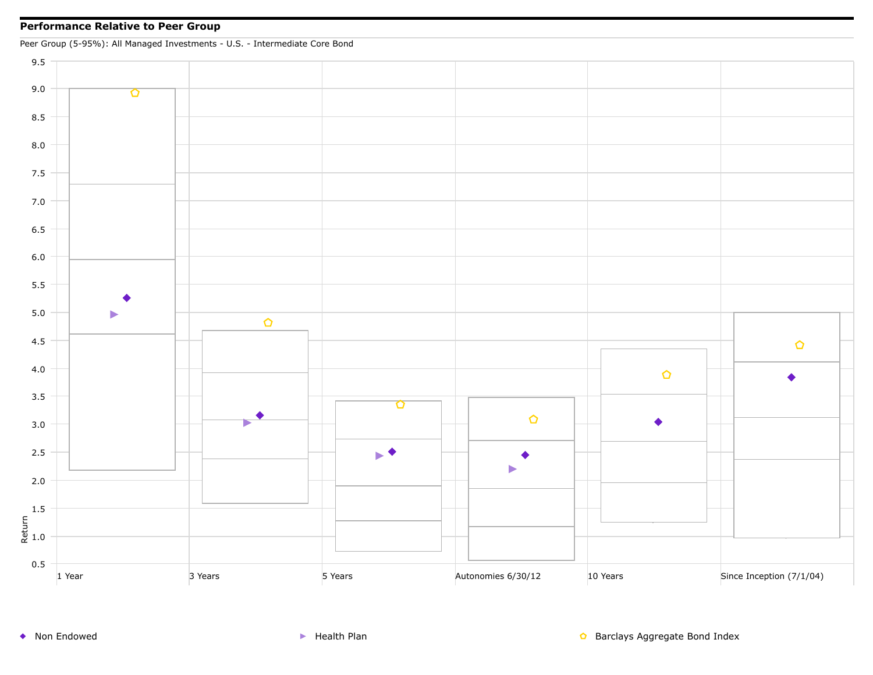## **Performance Relative to Peer Group**



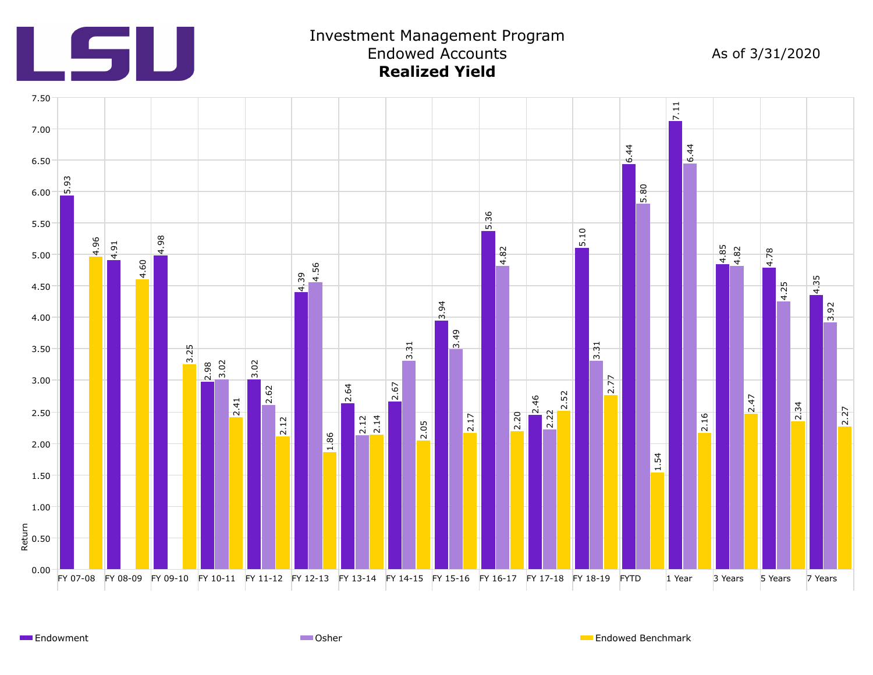

Endowment **Endowed Benchmark** Communication Communication Communication Communication Communication Communication Communication Communication Communication Communication Communication Communication Communication Communicat